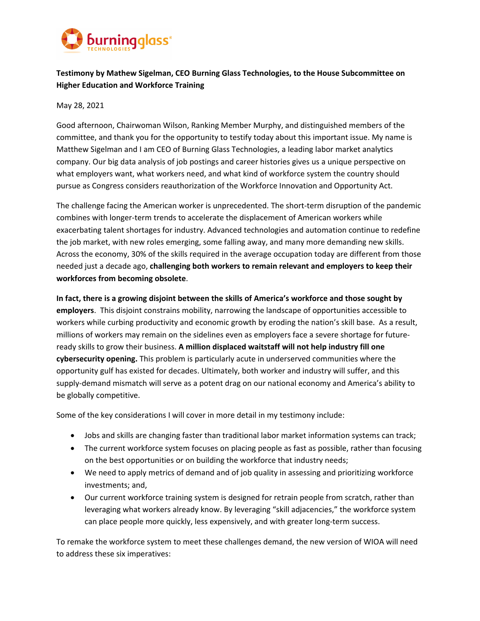

# **Testimony by Mathew Sigelman, CEO Burning Glass Technologies, to the House Subcommittee on Higher Education and Workforce Training**

#### May 28, 2021

Good afternoon, Chairwoman Wilson, Ranking Member Murphy, and distinguished members of the committee, and thank you for the opportunity to testify today about this important issue. My name is Matthew Sigelman and I am CEO of Burning Glass Technologies, a leading labor market analytics company. Our big data analysis of job postings and career histories gives us a unique perspective on what employers want, what workers need, and what kind of workforce system the country should pursue as Congress considers reauthorization of the Workforce Innovation and Opportunity Act.

The challenge facing the American worker is unprecedented. The short‐term disruption of the pandemic combines with longer-term trends to accelerate the displacement of American workers while exacerbating talent shortages for industry. Advanced technologies and automation continue to redefine the job market, with new roles emerging, some falling away, and many more demanding new skills. Across the economy, 30% of the skills required in the average occupation today are different from those needed just a decade ago, **challenging both workers to remain relevant and employers to keep their workforces from becoming obsolete**.

**In fact, there is a growing disjoint between the skills of America's workforce and those sought by employers**. This disjoint constrains mobility, narrowing the landscape of opportunities accessible to workers while curbing productivity and economic growth by eroding the nation's skill base. As a result, millions of workers may remain on the sidelines even as employers face a severe shortage for future‐ ready skills to grow their business. **A million displaced waitstaff will not help industry fill one cybersecurity opening.** This problem is particularly acute in underserved communities where the opportunity gulf has existed for decades. Ultimately, both worker and industry will suffer, and this supply-demand mismatch will serve as a potent drag on our national economy and America's ability to be globally competitive.

Some of the key considerations I will cover in more detail in my testimony include:

- Jobs and skills are changing faster than traditional labor market information systems can track;
- The current workforce system focuses on placing people as fast as possible, rather than focusing on the best opportunities or on building the workforce that industry needs;
- We need to apply metrics of demand and of job quality in assessing and prioritizing workforce investments; and,
- Our current workforce training system is designed for retrain people from scratch, rather than leveraging what workers already know. By leveraging "skill adjacencies," the workforce system can place people more quickly, less expensively, and with greater long-term success.

To remake the workforce system to meet these challenges demand, the new version of WIOA will need to address these six imperatives: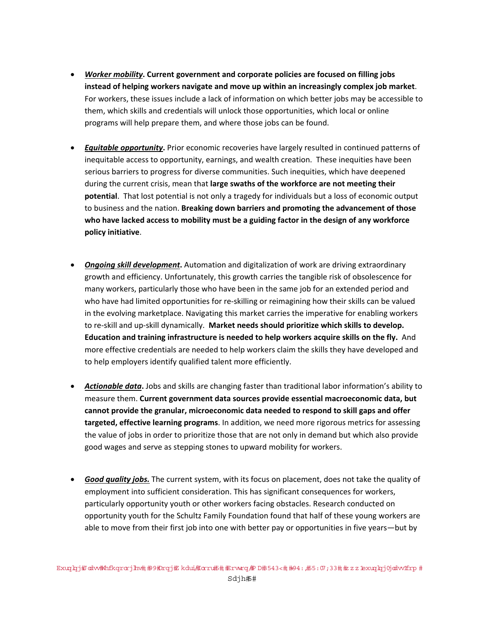- *Worker mobility***. Current government and corporate policies are focused on filling jobs instead of helping workers navigate and move up within an increasingly complex job market**. For workers, these issues include a lack of information on which better jobs may be accessible to them, which skills and credentials will unlock those opportunities, which local or online programs will help prepare them, and where those jobs can be found.
- *Equitable opportunity***.** Prior economic recoveries have largely resulted in continued patterns of inequitable access to opportunity, earnings, and wealth creation. These inequities have been serious barriers to progress for diverse communities. Such inequities, which have deepened during the current crisis, mean that **large swaths of the workforce are not meeting their potential**. That lost potential is not only a tragedy for individuals but a loss of economic output to business and the nation. **Breaking down barriers and promoting the advancement of those who have lacked access to mobility must be a guiding factor in the design of any workforce policy initiative**.
- *Ongoing skill development***.** Automation and digitalization of work are driving extraordinary growth and efficiency. Unfortunately, this growth carries the tangible risk of obsolescence for many workers, particularly those who have been in the same job for an extended period and who have had limited opportunities for re-skilling or reimagining how their skills can be valued in the evolving marketplace. Navigating this market carries the imperative for enabling workers to re‐skill and up‐skill dynamically. **Market needs should prioritize which skills to develop. Education and training infrastructure is needed to help workers acquire skills on the fly.** And more effective credentials are needed to help workers claim the skills they have developed and to help employers identify qualified talent more efficiently.
- *Actionable data***.** Jobs and skills are changing faster than traditional labor information's ability to measure them. **Current government data sources provide essential macroeconomic data, but cannot provide the granular, microeconomic data needed to respond to skill gaps and offer targeted, effective learning programs**. In addition, we need more rigorous metrics for assessing the value of jobs in order to prioritize those that are not only in demand but which also provide good wages and serve as stepping stones to upward mobility for workers.
- *Good quality jobs.* The current system, with its focus on placement, does not take the quality of employment into sufficient consideration. This has significant consequences for workers, particularly opportunity youth or other workers facing obstacles. Research conducted on opportunity youth for the Schultz Family Foundation found that half of these young workers are able to move from their first job into one with better pay or opportunities in five years—but by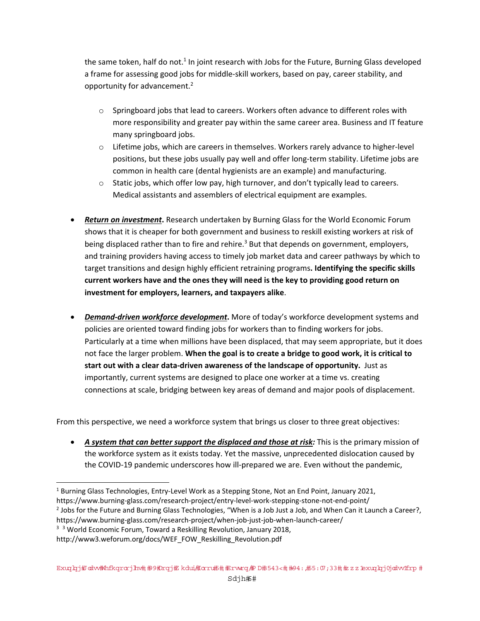the same token, half do not.<sup>1</sup> In joint research with Jobs for the Future, Burning Glass developed a frame for assessing good jobs for middle‐skill workers, based on pay, career stability, and opportunity for advancement.2

- $\circ$  Springboard jobs that lead to careers. Workers often advance to different roles with more responsibility and greater pay within the same career area. Business and IT feature many springboard jobs.
- o Lifetime jobs, which are careers in themselves. Workers rarely advance to higher‐level positions, but these jobs usually pay well and offer long‐term stability. Lifetime jobs are common in health care (dental hygienists are an example) and manufacturing.
- $\circ$  Static jobs, which offer low pay, high turnover, and don't typically lead to careers. Medical assistants and assemblers of electrical equipment are examples.
- *Return on investment***.** Research undertaken by Burning Glass for the World Economic Forum shows that it is cheaper for both government and business to reskill existing workers at risk of being displaced rather than to fire and rehire.<sup>3</sup> But that depends on government, employers, and training providers having access to timely job market data and career pathways by which to target transitions and design highly efficient retraining programs**. Identifying the specific skills current workers have and the ones they will need is the key to providing good return on investment for employers, learners, and taxpayers alike**.
- *Demand‐driven workforce development***.** More of today's workforce development systems and policies are oriented toward finding jobs for workers than to finding workers for jobs. Particularly at a time when millions have been displaced, that may seem appropriate, but it does not face the larger problem. **When the goal is to create a bridge to good work, it is critical to start out with a clear data‐driven awareness of the landscape of opportunity.** Just as importantly, current systems are designed to place one worker at a time vs. creating connections at scale, bridging between key areas of demand and major pools of displacement.

From this perspective, we need a workforce system that brings us closer to three great objectives:

 *A system that can better support the displaced and those at risk:* This is the primary mission of the workforce system as it exists today. Yet the massive, unprecedented dislocation caused by the COVID-19 pandemic underscores how ill-prepared we are. Even without the pandemic,

<sup>&</sup>lt;sup>1</sup> Burning Glass Technologies, Entry-Level Work as a Stepping Stone, Not an End Point, January 2021,

https://www.burning‐glass.com/research‐project/entry‐level‐work‐stepping‐stone‐not‐end‐point/

<sup>&</sup>lt;sup>2</sup> Jobs for the Future and Burning Glass Technologies, "When is a Job Just a Job, and When Can it Launch a Career?,

https://www.burning‐glass.com/research‐project/when‐job‐just‐job‐when‐launch‐career/

<sup>&</sup>lt;sup>3</sup> <sup>3</sup> World Economic Forum, Toward a Reskilling Revolution, January 2018,

http://www3.weforum.org/docs/WEF\_FOW\_Reskilling\_Revolution.pdf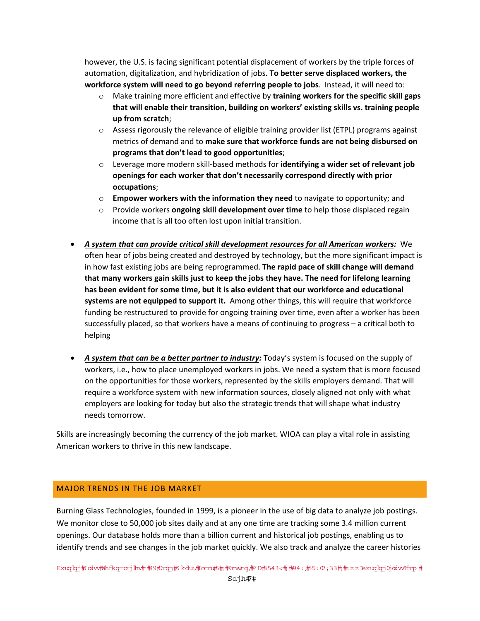however, the U.S. is facing significant potential displacement of workers by the triple forces of automation, digitalization, and hybridization of jobs. **To better serve displaced workers, the workforce system will need to go beyond referring people to jobs**. Instead, it will need to:

- o Make training more efficient and effective by **training workers for the specific skill gaps that will enable their transition, building on workers' existing skills vs. training people up from scratch**;
- $\circ$  Assess rigorously the relevance of eligible training provider list (ETPL) programs against metrics of demand and to **make sure that workforce funds are not being disbursed on programs that don't lead to good opportunities**;
- o Leverage more modern skill‐based methods for **identifying a wider set of relevant job openings for each worker that don't necessarily correspond directly with prior occupations**;
- o **Empower workers with the information they need** to navigate to opportunity; and
- o Provide workers **ongoing skill development over time** to help those displaced regain income that is all too often lost upon initial transition.
- *A system that can provide critical skill development resources for all American workers:* We often hear of jobs being created and destroyed by technology, but the more significant impact is in how fast existing jobs are being reprogrammed. **The rapid pace of skill change will demand that many workers gain skills just to keep the jobs they have. The need for lifelong learning has been evident for some time, but it is also evident that our workforce and educational systems are not equipped to support it.** Among other things, this will require that workforce funding be restructured to provide for ongoing training over time, even after a worker has been successfully placed, so that workers have a means of continuing to progress – a critical both to helping
- *A system that can be a better partner to industry:* Today's system is focused on the supply of workers, i.e., how to place unemployed workers in jobs. We need a system that is more focused on the opportunities for those workers, represented by the skills employers demand. That will require a workforce system with new information sources, closely aligned not only with what employers are looking for today but also the strategic trends that will shape what industry needs tomorrow.

Skills are increasingly becoming the currency of the job market. WIOA can play a vital role in assisting American workers to thrive in this new landscape.

## MAJOR TRENDS IN THE JOB MARKET

Burning Glass Technologies, founded in 1999, is a pioneer in the use of big data to analyze job postings. We monitor close to 50,000 job sites daily and at any one time are tracking some 3.4 million current openings. Our database holds more than a billion current and historical job postings, enabling us to identify trends and see changes in the job market quickly. We also track and analyze the career histories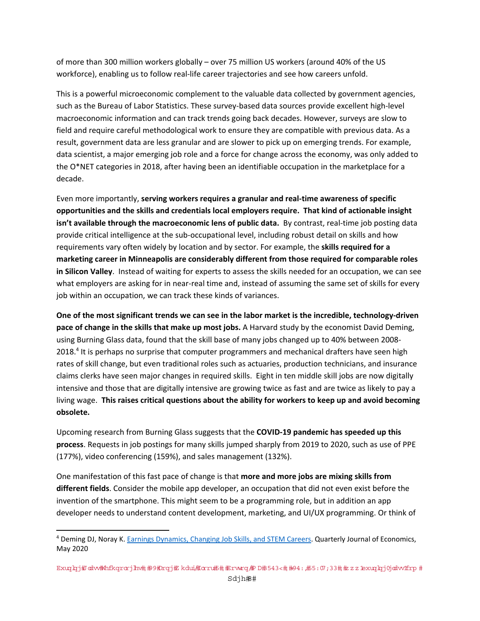of more than 300 million workers globally – over 75 million US workers (around 40% of the US workforce), enabling us to follow real-life career trajectories and see how careers unfold.

This is a powerful microeconomic complement to the valuable data collected by government agencies, such as the Bureau of Labor Statistics. These survey‐based data sources provide excellent high‐level macroeconomic information and can track trends going back decades. However, surveys are slow to field and require careful methodological work to ensure they are compatible with previous data. As a result, government data are less granular and are slower to pick up on emerging trends. For example, data scientist, a major emerging job role and a force for change across the economy, was only added to the O\*NET categories in 2018, after having been an identifiable occupation in the marketplace for a decade.

Even more importantly, **serving workers requires a granular and real‐time awareness of specific opportunities and the skills and credentials local employers require. That kind of actionable insight isn't available through the macroeconomic lens of public data.** By contrast, real‐time job posting data provide critical intelligence at the sub‐occupational level, including robust detail on skills and how requirements vary often widely by location and by sector. For example, the **skills required for a marketing career in Minneapolis are considerably different from those required for comparable roles in Silicon Valley**. Instead of waiting for experts to assess the skills needed for an occupation, we can see what employers are asking for in near-real time and, instead of assuming the same set of skills for every job within an occupation, we can track these kinds of variances.

One of the most significant trends we can see in the labor market is the incredible, technology-driven **pace of change in the skills that make up most jobs.** A Harvard study by the economist David Deming, using Burning Glass data, found that the skill base of many jobs changed up to 40% between 2008‐ 2018.<sup>4</sup> It is perhaps no surprise that computer programmers and mechanical drafters have seen high rates of skill change, but even traditional roles such as actuaries, production technicians, and insurance claims clerks have seen major changes in required skills. Eight in ten middle skill jobs are now digitally intensive and those that are digitally intensive are growing twice as fast and are twice as likely to pay a living wage. **This raises critical questions about the ability for workers to keep up and avoid becoming obsolete.**

Upcoming research from Burning Glass suggests that the **COVID‐19 pandemic has speeded up this process**. Requests in job postings for many skills jumped sharply from 2019 to 2020, such as use of PPE (177%), video conferencing (159%), and sales management (132%).

One manifestation of this fast pace of change is that **more and more jobs are mixing skills from different fields**. Consider the mobile app developer, an occupation that did not even exist before the invention of the smartphone. This might seem to be a programming role, but in addition an app developer needs to understand content development, marketing, and UI/UX programming. Or think of

<sup>4</sup> Deming DJ, Noray K. Earnings Dynamics, Changing Job Skills, and STEM Careers. Quarterly Journal of Economics, May 2020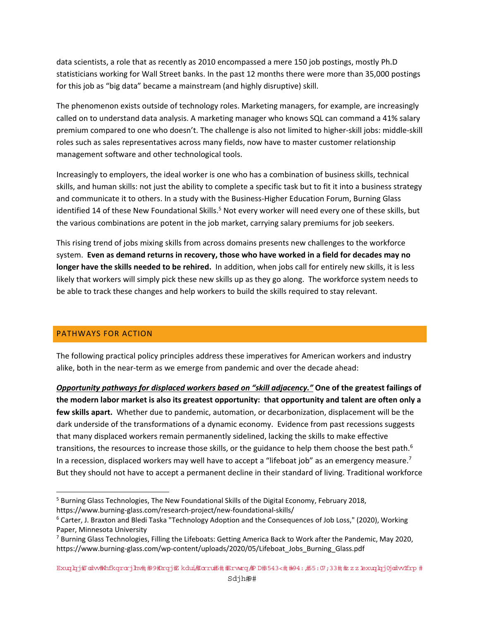data scientists, a role that as recently as 2010 encompassed a mere 150 job postings, mostly Ph.D statisticians working for Wall Street banks. In the past 12 months there were more than 35,000 postings for this job as "big data" became a mainstream (and highly disruptive) skill.

The phenomenon exists outside of technology roles. Marketing managers, for example, are increasingly called on to understand data analysis. A marketing manager who knows SQL can command a 41% salary premium compared to one who doesn't. The challenge is also not limited to higher‐skill jobs: middle‐skill roles such as sales representatives across many fields, now have to master customer relationship management software and other technological tools.

Increasingly to employers, the ideal worker is one who has a combination of business skills, technical skills, and human skills: not just the ability to complete a specific task but to fit it into a business strategy and communicate it to others. In a study with the Business‐Higher Education Forum, Burning Glass identified 14 of these New Foundational Skills.<sup>5</sup> Not every worker will need every one of these skills, but the various combinations are potent in the job market, carrying salary premiums for job seekers.

This rising trend of jobs mixing skills from across domains presents new challenges to the workforce system. **Even as demand returns in recovery, those who have worked in a field for decades may no longer have the skills needed to be rehired.** In addition, when jobs call for entirely new skills, it is less likely that workers will simply pick these new skills up as they go along. The workforce system needs to be able to track these changes and help workers to build the skills required to stay relevant.

## PATHWAYS FOR ACTION

The following practical policy principles address these imperatives for American workers and industry alike, both in the near‐term as we emerge from pandemic and over the decade ahead:

*Opportunity pathways for displaced workers based on "skill adjacency."* **One of the greatest failings of** the modern labor market is also its greatest opportunity: that opportunity and talent are often only a **few skills apart.** Whether due to pandemic, automation, or decarbonization, displacement will be the dark underside of the transformations of a dynamic economy. Evidence from past recessions suggests that many displaced workers remain permanently sidelined, lacking the skills to make effective transitions, the resources to increase those skills, or the guidance to help them choose the best path.<sup>6</sup> In a recession, displaced workers may well have to accept a "lifeboat job" as an emergency measure.<sup>7</sup> But they should not have to accept a permanent decline in their standard of living. Traditional workforce

<sup>&</sup>lt;sup>5</sup> Burning Glass Technologies, The New Foundational Skills of the Digital Economy, February 2018, https://www.burning-glass.com/research-project/new-foundational-skills/

<sup>6</sup> Carter, J. Braxton and Bledi Taska "Technology Adoption and the Consequences of Job Loss," (2020), Working Paper, Minnesota University

<sup>&</sup>lt;sup>7</sup> Burning Glass Technologies, Filling the Lifeboats: Getting America Back to Work after the Pandemic, May 2020, https://www.burning-glass.com/wp-content/uploads/2020/05/Lifeboat\_Jobs\_Burning\_Glass.pdf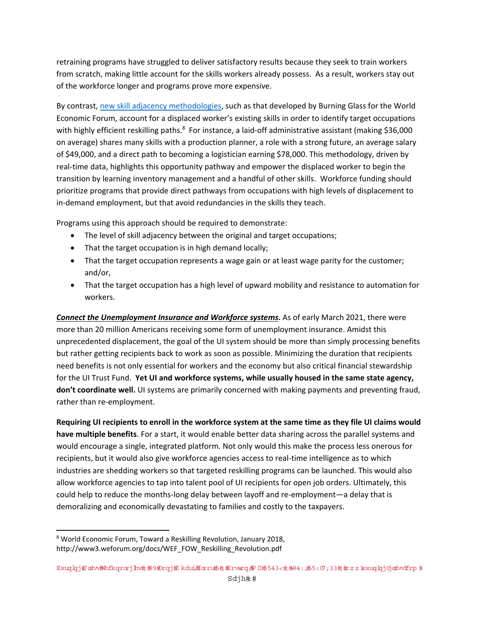retraining programs have struggled to deliver satisfactory results because they seek to train workers from scratch, making little account for the skills workers already possess. As a result, workers stay out of the workforce longer and programs prove more expensive.

By contrast, new skill adjacency methodologies, such as that developed by Burning Glass for the World Economic Forum, account for a displaced worker's existing skills in order to identify target occupations with highly efficient reskilling paths.<sup>8</sup> For instance, a laid-off administrative assistant (making \$36,000 on average) shares many skills with a production planner, a role with a strong future, an average salary of \$49,000, and a direct path to becoming a logistician earning \$78,000. This methodology, driven by real‐time data, highlights this opportunity pathway and empower the displaced worker to begin the transition by learning inventory management and a handful of other skills. Workforce funding should prioritize programs that provide direct pathways from occupations with high levels of displacement to in‐demand employment, but that avoid redundancies in the skills they teach.

Programs using this approach should be required to demonstrate:

- The level of skill adjacency between the original and target occupations;
- That the target occupation is in high demand locally;
- That the target occupation represents a wage gain or at least wage parity for the customer; and/or,
- That the target occupation has a high level of upward mobility and resistance to automation for workers.

*Connect the Unemployment Insurance and Workforce systems***.** As of early March 2021, there were more than 20 million Americans receiving some form of unemployment insurance. Amidst this unprecedented displacement, the goal of the UI system should be more than simply processing benefits but rather getting recipients back to work as soon as possible. Minimizing the duration that recipients need benefits is not only essential for workers and the economy but also critical financial stewardship for the UI Trust Fund. **Yet UI and workforce systems, while usually housed in the same state agency, don't coordinate well.** UI systems are primarily concerned with making payments and preventing fraud, rather than re-employment.

Requiring UI recipients to enroll in the workforce system at the same time as they file UI claims would **have multiple benefits**. For a start, it would enable better data sharing across the parallel systems and would encourage a single, integrated platform. Not only would this make the process less onerous for recipients, but it would also give workforce agencies access to real‐time intelligence as to which industries are shedding workers so that targeted reskilling programs can be launched. This would also allow workforce agencies to tap into talent pool of UI recipients for open job orders. Ultimately, this could help to reduce the months‐long delay between layoff and re‐employment—a delay that is demoralizing and economically devastating to families and costly to the taxpayers.

<sup>8</sup> World Economic Forum, Toward a Reskilling Revolution, January 2018, http://www3.weforum.org/docs/WEF\_FOW\_Reskilling\_Revolution.pdf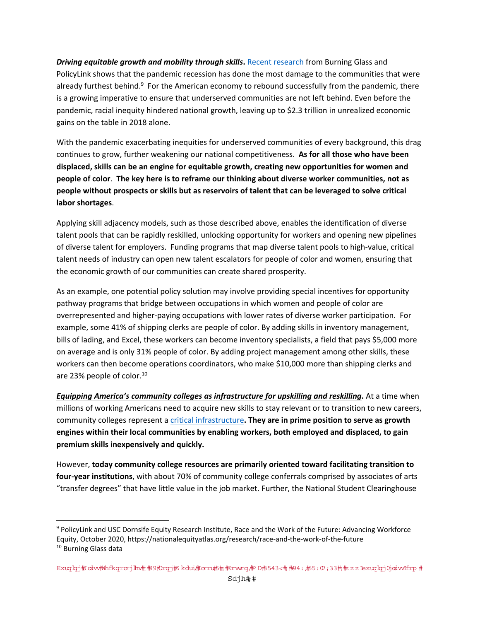*Driving equitable growth and mobility through skills***.** Recent research from Burning Glass and PolicyLink shows that the pandemic recession has done the most damage to the communities that were already furthest behind.<sup>9</sup> For the American economy to rebound successfully from the pandemic, there is a growing imperative to ensure that underserved communities are not left behind. Even before the pandemic, racial inequity hindered national growth, leaving up to \$2.3 trillion in unrealized economic gains on the table in 2018 alone.

With the pandemic exacerbating inequities for underserved communities of every background, this drag continues to grow, further weakening our national competitiveness. **As for all those who have been displaced, skills can be an engine for equitable growth, creating new opportunities for women and people of color**. **The key here is to reframe our thinking about diverse worker communities, not as people without prospects or skills but as reservoirs of talent that can be leveraged to solve critical labor shortages**.

Applying skill adjacency models, such as those described above, enables the identification of diverse talent pools that can be rapidly reskilled, unlocking opportunity for workers and opening new pipelines of diverse talent for employers. Funding programs that map diverse talent pools to high‐value, critical talent needs of industry can open new talent escalators for people of color and women, ensuring that the economic growth of our communities can create shared prosperity.

As an example, one potential policy solution may involve providing special incentives for opportunity pathway programs that bridge between occupations in which women and people of color are overrepresented and higher‐paying occupations with lower rates of diverse worker participation. For example, some 41% of shipping clerks are people of color. By adding skills in inventory management, bills of lading, and Excel, these workers can become inventory specialists, a field that pays \$5,000 more on average and is only 31% people of color. By adding project management among other skills, these workers can then become operations coordinators, who make \$10,000 more than shipping clerks and are 23% people of color.<sup>10</sup>

*Equipping America's community colleges as infrastructure for upskilling and reskilling***.** At a time when millions of working Americans need to acquire new skills to stay relevant or to transition to new careers, community colleges represent a critical infrastructure**. They are in prime position to serve as growth engines within their local communities by enabling workers, both employed and displaced, to gain premium skills inexpensively and quickly.** 

However, **today community college resources are primarily oriented toward facilitating transition to four‐year institutions**, with about 70% of community college conferrals comprised by associates of arts "transfer degrees" that have little value in the job market. Further, the National Student Clearinghouse

<sup>9</sup> PolicyLink and USC Dornsife Equity Research Institute, Race and the Work of the Future: Advancing Workforce Equity, October 2020, https://nationalequityatlas.org/research/race‐and‐the‐work‐of‐the‐future <sup>10</sup> Burning Glass data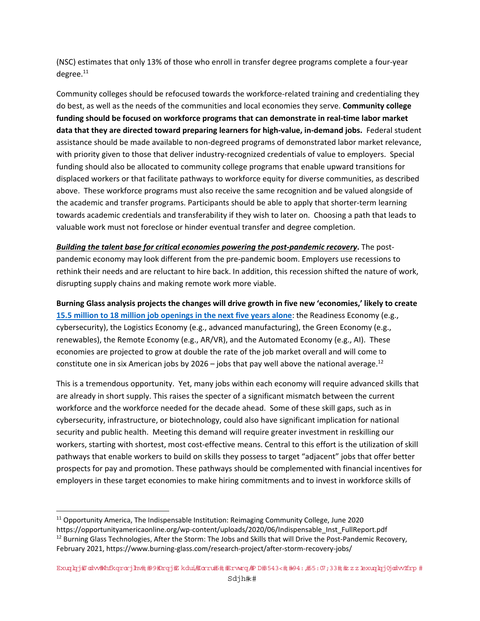(NSC) estimates that only 13% of those who enroll in transfer degree programs complete a four‐year degree.<sup>11</sup>

Community colleges should be refocused towards the workforce‐related training and credentialing they do best, as well as the needs of the communities and local economies they serve. **Community college funding should be focused on workforce programs that can demonstrate in real‐time labor market data that they are directed toward preparing learners for high‐value, in‐demand jobs.** Federal student assistance should be made available to non‐degreed programs of demonstrated labor market relevance, with priority given to those that deliver industry-recognized credentials of value to employers. Special funding should also be allocated to community college programs that enable upward transitions for displaced workers or that facilitate pathways to workforce equity for diverse communities, as described above. These workforce programs must also receive the same recognition and be valued alongside of the academic and transfer programs. Participants should be able to apply that shorter‐term learning towards academic credentials and transferability if they wish to later on. Choosing a path that leads to valuable work must not foreclose or hinder eventual transfer and degree completion.

*Building the talent base for critical economies powering the post‐pandemic recovery***.** The post‐ pandemic economy may look different from the pre‐pandemic boom. Employers use recessions to rethink their needs and are reluctant to hire back. In addition, this recession shifted the nature of work, disrupting supply chains and making remote work more viable.

**Burning Glass analysis projects the changes will drive growth in five new 'economies,' likely to create 15.5 million to 18 million job openings in the next five years alone**: the Readiness Economy (e.g., cybersecurity), the Logistics Economy (e.g., advanced manufacturing), the Green Economy (e.g., renewables), the Remote Economy (e.g., AR/VR), and the Automated Economy (e.g., AI). These economies are projected to grow at double the rate of the job market overall and will come to constitute one in six American jobs by 2026 – jobs that pay well above the national average.<sup>12</sup>

This is a tremendous opportunity. Yet, many jobs within each economy will require advanced skills that are already in short supply. This raises the specter of a significant mismatch between the current workforce and the workforce needed for the decade ahead. Some of these skill gaps, such as in cybersecurity, infrastructure, or biotechnology, could also have significant implication for national security and public health. Meeting this demand will require greater investment in reskilling our workers, starting with shortest, most cost-effective means. Central to this effort is the utilization of skill pathways that enable workers to build on skills they possess to target "adjacent" jobs that offer better prospects for pay and promotion. These pathways should be complemented with financial incentives for employers in these target economies to make hiring commitments and to invest in workforce skills of

<sup>11</sup> Opportunity America, The Indispensable Institution: Reimaging Community College, June 2020

https://opportunityamericaonline.org/wp‐content/uploads/2020/06/Indispensable\_Inst\_FullReport.pdf <sup>12</sup> Burning Glass Technologies, After the Storm: The Jobs and Skills that will Drive the Post-Pandemic Recovery, February 2021, https://www.burning‐glass.com/research‐project/after‐storm‐recovery‐jobs/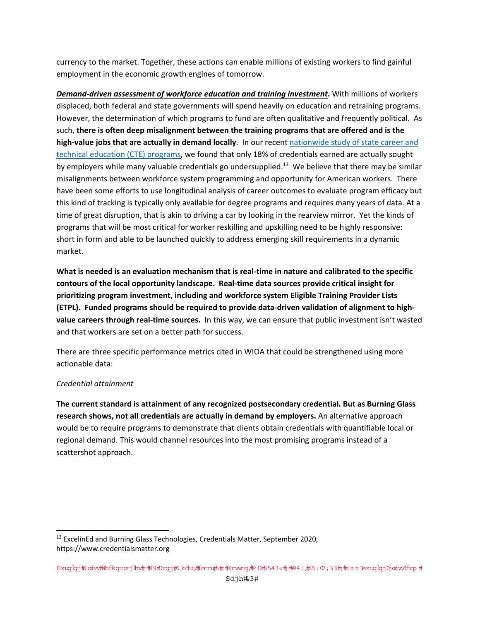currency to the market. Together, these actions can enable millions of existing workers to find gainful employment in the economic growth engines of tomorrow.

*Demand‐driven assessment of workforce education and training investment***.** With millions of workers displaced, both federal and state governments will spend heavily on education and retraining programs. However, the determination of which programs to fund are often qualitative and frequently political. As such, **there is often deep misalignment between the training programs that are offered and is the high‐value jobs that are actually in demand locally**. In our recent nationwide study of state career and technical education (CTE) programs, we found that only 18% of credentials earned are actually sought by employers while many valuable credentials go undersupplied.<sup>13</sup> We believe that there may be similar misalignments between workforce system programming and opportunity for American workers. There have been some efforts to use longitudinal analysis of career outcomes to evaluate program efficacy but this kind of tracking is typically only available for degree programs and requires many years of data. At a time of great disruption, that is akin to driving a car by looking in the rearview mirror. Yet the kinds of programs that will be most critical for worker reskilling and upskilling need to be highly responsive: short in form and able to be launched quickly to address emerging skill requirements in a dynamic market.

What is needed is an evaluation mechanism that is real-time in nature and calibrated to the specific **contours of the local opportunity landscape. Real‐time data sources provide critical insight for prioritizing program investment, including and workforce system Eligible Training Provider Lists** (ETPL). Funded programs should be required to provide data-driven validation of alignment to high**value careers through real‐time sources.** In this way, we can ensure that public investment isn't wasted and that workers are set on a better path for success.

There are three specific performance metrics cited in WIOA that could be strengthened using more actionable data:

## *Credential attainment*

**The current standard is attainment of any recognized postsecondary credential. But as Burning Glass research shows, not all credentials are actually in demand by employers.** An alternative approach would be to require programs to demonstrate that clients obtain credentials with quantifiable local or regional demand. This would channel resources into the most promising programs instead of a scattershot approach.

<sup>&</sup>lt;sup>13</sup> ExcelinEd and Burning Glass Technologies, Credentials Matter, September 2020, https://www.credentialsmatter.org